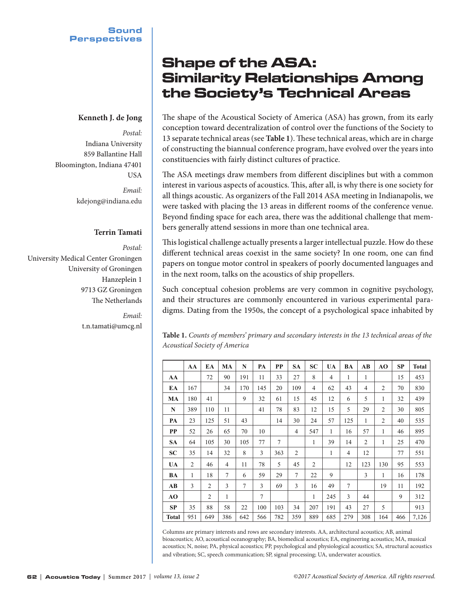## **Kenneth J. de Jong**

*Postal:* Indiana University 859 Ballantine Hall Bloomington, Indiana 47401 USA *Email:*

kdejong@indiana.edu

## **Terrin Tamati**

*Postal:* University Medical Center Groningen University of Groningen Hanzeplein 1 9713 GZ Groningen The Netherlands

> *Email:* t.n.tamati@umcg.nl

# Shape of the ASA: Similarity Relationships Among the Society's Technical Areas

The shape of the Acoustical Society of America (ASA) has grown, from its early conception toward decentralization of control over the functions of the Society to 13 separate technical areas (see **Table 1**). These technical areas, which are in charge of constructing the biannual conference program, have evolved over the years into constituencies with fairly distinct cultures of practice.

The ASA meetings draw members from different disciplines but with a common interest in various aspects of acoustics. This, after all, is why there is one society for all things acoustic. As organizers of the Fall 2014 ASA meeting in Indianapolis, we were tasked with placing the 13 areas in different rooms of the conference venue. Beyond finding space for each area, there was the additional challenge that members generally attend sessions in more than one technical area.

This logistical challenge actually presents a larger intellectual puzzle. How do these different technical areas coexist in the same society? In one room, one can find papers on tongue motor control in speakers of poorly documented languages and in the next room, talks on the acoustics of ship propellers.

Such conceptual cohesion problems are very common in cognitive psychology, and their structures are commonly encountered in various experimental paradigms. Dating from the 1950s, the concept of a psychological space inhabited by

| ------------ ---------- ------------ |     |     |    |     |     |           |           |                |           |    |    |    |           |              |
|--------------------------------------|-----|-----|----|-----|-----|-----------|-----------|----------------|-----------|----|----|----|-----------|--------------|
|                                      | AA  | EA  | MA | N   | PA  | <b>PP</b> | <b>SA</b> | <b>SC</b>      | <b>UA</b> | BA | AB | AO | <b>SP</b> | <b>Total</b> |
| AA                                   |     | 72  | 90 | 191 | 11  | 33        | 27        | 8              | 4         |    |    |    | 15        | 453          |
| EA                                   | 167 |     | 34 | 170 | 145 | 20        | 109       | $\overline{4}$ | 62        | 43 | 4  | 2  | 70        | 830          |
| MA                                   | 180 | 41  |    | 9   | 32  | 61        | 15        | 45             | 12        | 6  | 5  |    | 32        | 439          |
| N                                    | 389 | 110 | 11 |     | 41  | 78        | 83        | 12             | 15        | 5  | 29 | 2  | 30        | 805          |

**PA** 23 125 51 43 14 30 24 57 125 1 2 40 535 **PP** 52 26 65 70 10 4 547 1 16 57 1 46 895 **SA** 64 105 30 105 77 7 1 39 14 2 1 25 470 **SC** 35 14 32 8 3 363 2 1 4 12 77 551 **UA** | 2 | 46 | 4 | 11 | 78 | 5 | 45 | 2 | | 12 | 123 | 130 | 95 | 553 **BA** | 1 | 18 | 7 | 6 | 59 | 29 | 7 | 22 | 9 | | | 3 | 1 | 16 | 178 **AB** 3 2 3 7 3 69 3 16 49 7 19 11 192 **AO** | | 2 | 1 | | 7 | | | | | | | | | 245 | 3 | | 44 | | 9 | 312 **SP** | 35 | 88 | 58 | 22 | 100 | 103 | 34 | 207 | 191 | 43 | 27 | 5 | 913 **Total** 951 649 386 642 566 782 359 889 685 279 308 164 466 7,126

**Table 1.** *Counts of members' primary and secondary interests in the 13 technical areas of the Acoustical Society of America*

| Columns are primary interests and rows are secondary interests. AA, architectural acoustics; AB, animal              |
|----------------------------------------------------------------------------------------------------------------------|
| bioacoustics; AO, acoustical oceanography; BA, biomedical acoustics; EA, engineering acoustics; MA, musical          |
| acoustics; N, noise; PA, physical acoustics; PP, psychological and physiological acoustics; SA, structural acoustics |
| and vibration; SC, speech communication; SP, signal processing; UA, underwater acoustics.                            |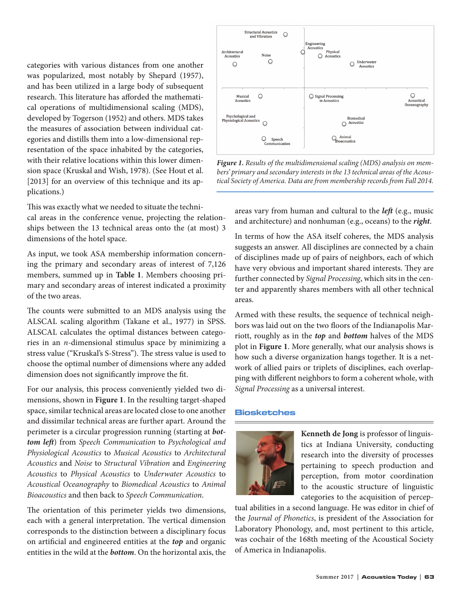categories with various distances from one another was popularized, most notably by Shepard (1957), and has been utilized in a large body of subsequent research. This literature has afforded the mathematical operations of multidimensional scaling (MDS), developed by Togerson (1952) and others. MDS takes the measures of association between individual categories and distills them into a low-dimensional representation of the space inhabited by the categories, with their relative locations within this lower dimension space (Kruskal and Wish, 1978). (See Hout et al. [2013] for an overview of this technique and its applications.)

This was exactly what we needed to situate the technical areas in the conference venue, projecting the relationships between the 13 technical areas onto the (at most) 3 dimensions of the hotel space.

As input, we took ASA membership information concerning the primary and secondary areas of interest of 7,126 members, summed up in **Table 1**. Members choosing primary and secondary areas of interest indicated a proximity of the two areas.

The counts were submitted to an MDS analysis using the ALSCAL scaling algorithm (Takane et al., 1977) in SPSS. ALSCAL calculates the optimal distances between categories in an *n*-dimensional stimulus space by minimizing a stress value ("Kruskal's S-Stress"). The stress value is used to choose the optimal number of dimensions where any added dimension does not significantly improve the fit.

For our analysis, this process conveniently yielded two dimensions, shown in **Figure 1**. In the resulting target-shaped space, similar technical areas are located close to one another and dissimilar technical areas are further apart. Around the perimeter is a circular progression running (starting at *bottom left* ) from *Speech Communication* to *Psychological and Physiological Acoustics* to *Musical Acoustics* to *Architectural Acoustics* and *Noise* to *Structural Vibration* and *Engineering Acoustics* to *Physical Acoustics* to *Underwater Acoustics* to *Acoustical Oceanography* to *Biomedical Acoustics* to *Animal Bioacoustics* and then back to *Speech Communication*.

The orientation of this perimeter yields two dimensions, each with a general interpretation. The vertical dimension corresponds to the distinction between a disciplinary focus on artificial and engineered entities at the *top* and organic entities in the wild at the *bottom*. On the horizontal axis, the



*Figure 1. Results of the multidimensional scaling (MDS) analysis on members' primary and secondary interests in the 13 technical areas of the Acoustical Society of America. Data are from membership records from Fall 2014.* 

areas vary from human and cultural to the *left* (e.g., music and architecture) and nonhuman (e.g., oceans) to the *right*.

In terms of how the ASA itself coheres, the MDS analysis suggests an answer. All disciplines are connected by a chain of disciplines made up of pairs of neighbors, each of which have very obvious and important shared interests. They are further connected by *Signal Processing*, which sits in the center and apparently shares members with all other technical areas.

Armed with these results, the sequence of technical neighbors was laid out on the two floors of the Indianapolis Marriott, roughly as in the *top* and *bottom* halves of the MDS plot in **Figure 1**. More generally, what our analysis shows is how such a diverse organization hangs together. It is a network of allied pairs or triplets of disciplines, each overlapping with different neighbors to form a coherent whole, with *Signal Processing* as a universal interest.

### Biosketches



**Kenneth de Jong** is professor of linguistics at Indiana University, conducting research into the diversity of processes pertaining to speech production and perception, from motor coordination to the acoustic structure of linguistic categories to the acquisition of percep-

tual abilities in a second language. He was editor in chief of the *Journal of Phonetics*, is president of the Association for Laboratory Phonology, and, most pertinent to this article, was cochair of the 168th meeting of the Acoustical Society of America in Indianapolis.